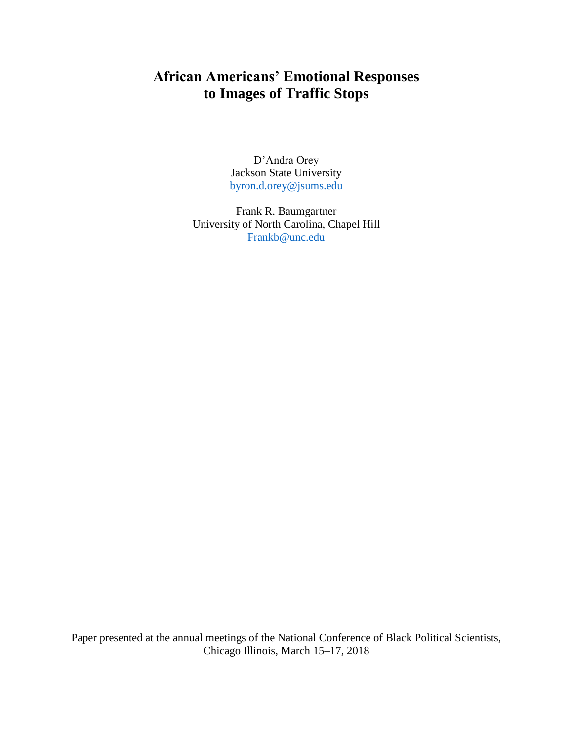# **African Americans' Emotional Responses to Images of Traffic Stops**

D'Andra Orey Jackson State University [byron.d.orey@jsums.edu](mailto:byron.d.orey@jsums.edu)

Frank R. Baumgartner University of North Carolina, Chapel Hill [Frankb@unc.edu](mailto:Frankb@unc.edu)

Paper presented at the annual meetings of the National Conference of Black Political Scientists, Chicago Illinois, March 15–17, 2018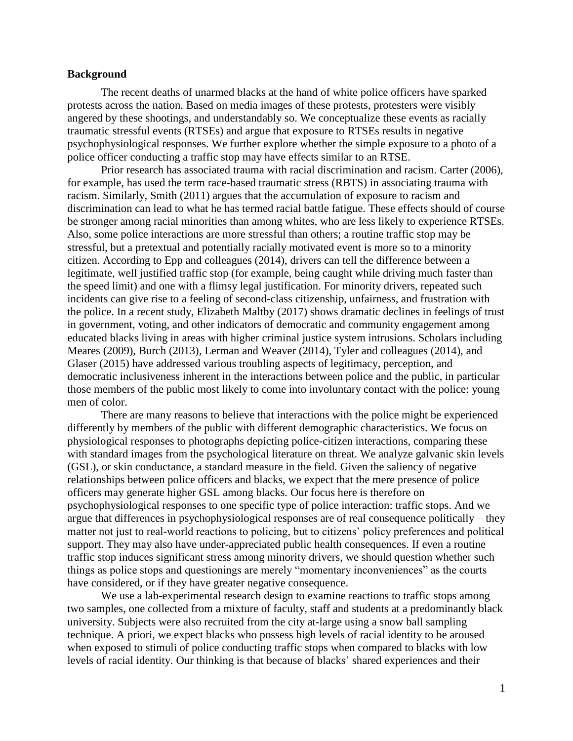#### **Background**

The recent deaths of unarmed blacks at the hand of white police officers have sparked protests across the nation. Based on media images of these protests, protesters were visibly angered by these shootings, and understandably so. We conceptualize these events as racially traumatic stressful events (RTSEs) and argue that exposure to RTSEs results in negative psychophysiological responses. We further explore whether the simple exposure to a photo of a police officer conducting a traffic stop may have effects similar to an RTSE.

Prior research has associated trauma with racial discrimination and racism. Carter (2006), for example, has used the term race-based traumatic stress (RBTS) in associating trauma with racism. Similarly, Smith (2011) argues that the accumulation of exposure to racism and discrimination can lead to what he has termed racial battle fatigue. These effects should of course be stronger among racial minorities than among whites, who are less likely to experience RTSEs. Also, some police interactions are more stressful than others; a routine traffic stop may be stressful, but a pretextual and potentially racially motivated event is more so to a minority citizen. According to Epp and colleagues (2014), drivers can tell the difference between a legitimate, well justified traffic stop (for example, being caught while driving much faster than the speed limit) and one with a flimsy legal justification. For minority drivers, repeated such incidents can give rise to a feeling of second-class citizenship, unfairness, and frustration with the police. In a recent study, Elizabeth Maltby (2017) shows dramatic declines in feelings of trust in government, voting, and other indicators of democratic and community engagement among educated blacks living in areas with higher criminal justice system intrusions. Scholars including Meares (2009), Burch (2013), Lerman and Weaver (2014), Tyler and colleagues (2014), and Glaser (2015) have addressed various troubling aspects of legitimacy, perception, and democratic inclusiveness inherent in the interactions between police and the public, in particular those members of the public most likely to come into involuntary contact with the police: young men of color.

There are many reasons to believe that interactions with the police might be experienced differently by members of the public with different demographic characteristics. We focus on physiological responses to photographs depicting police-citizen interactions, comparing these with standard images from the psychological literature on threat. We analyze galvanic skin levels (GSL), or skin conductance, a standard measure in the field. Given the saliency of negative relationships between police officers and blacks, we expect that the mere presence of police officers may generate higher GSL among blacks. Our focus here is therefore on psychophysiological responses to one specific type of police interaction: traffic stops. And we argue that differences in psychophysiological responses are of real consequence politically – they matter not just to real-world reactions to policing, but to citizens' policy preferences and political support. They may also have under-appreciated public health consequences. If even a routine traffic stop induces significant stress among minority drivers, we should question whether such things as police stops and questionings are merely "momentary inconveniences" as the courts have considered, or if they have greater negative consequence.

We use a lab-experimental research design to examine reactions to traffic stops among two samples, one collected from a mixture of faculty, staff and students at a predominantly black university. Subjects were also recruited from the city at-large using a snow ball sampling technique. A priori, we expect blacks who possess high levels of racial identity to be aroused when exposed to stimuli of police conducting traffic stops when compared to blacks with low levels of racial identity. Our thinking is that because of blacks' shared experiences and their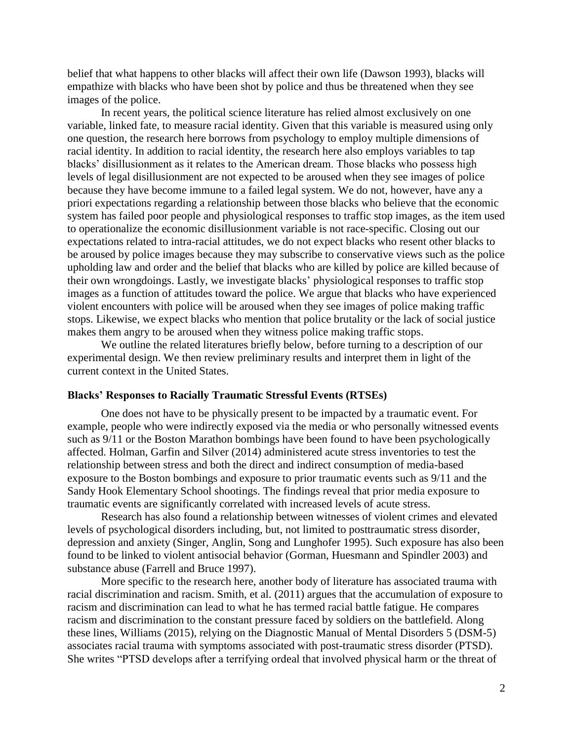belief that what happens to other blacks will affect their own life (Dawson 1993), blacks will empathize with blacks who have been shot by police and thus be threatened when they see images of the police.

In recent years, the political science literature has relied almost exclusively on one variable, linked fate, to measure racial identity. Given that this variable is measured using only one question, the research here borrows from psychology to employ multiple dimensions of racial identity. In addition to racial identity, the research here also employs variables to tap blacks' disillusionment as it relates to the American dream. Those blacks who possess high levels of legal disillusionment are not expected to be aroused when they see images of police because they have become immune to a failed legal system. We do not, however, have any a priori expectations regarding a relationship between those blacks who believe that the economic system has failed poor people and physiological responses to traffic stop images, as the item used to operationalize the economic disillusionment variable is not race-specific. Closing out our expectations related to intra-racial attitudes, we do not expect blacks who resent other blacks to be aroused by police images because they may subscribe to conservative views such as the police upholding law and order and the belief that blacks who are killed by police are killed because of their own wrongdoings. Lastly, we investigate blacks' physiological responses to traffic stop images as a function of attitudes toward the police. We argue that blacks who have experienced violent encounters with police will be aroused when they see images of police making traffic stops. Likewise, we expect blacks who mention that police brutality or the lack of social justice makes them angry to be aroused when they witness police making traffic stops.

We outline the related literatures briefly below, before turning to a description of our experimental design. We then review preliminary results and interpret them in light of the current context in the United States.

#### **Blacks' Responses to Racially Traumatic Stressful Events (RTSEs)**

One does not have to be physically present to be impacted by a traumatic event. For example, people who were indirectly exposed via the media or who personally witnessed events such as 9/11 or the Boston Marathon bombings have been found to have been psychologically affected. Holman, Garfin and Silver (2014) administered acute stress inventories to test the relationship between stress and both the direct and indirect consumption of media-based exposure to the Boston bombings and exposure to prior traumatic events such as 9/11 and the Sandy Hook Elementary School shootings. The findings reveal that prior media exposure to traumatic events are significantly correlated with increased levels of acute stress.

Research has also found a relationship between witnesses of violent crimes and elevated levels of psychological disorders including, but, not limited to posttraumatic stress disorder, depression and anxiety (Singer, Anglin, Song and Lunghofer 1995). Such exposure has also been found to be linked to violent antisocial behavior (Gorman, Huesmann and Spindler 2003) and substance abuse (Farrell and Bruce 1997).

More specific to the research here, another body of literature has associated trauma with racial discrimination and racism. Smith, et al. (2011) argues that the accumulation of exposure to racism and discrimination can lead to what he has termed racial battle fatigue. He compares racism and discrimination to the constant pressure faced by soldiers on the battlefield. Along these lines, Williams (2015), relying on the Diagnostic Manual of Mental Disorders 5 (DSM-5) associates racial trauma with symptoms associated with post-traumatic stress disorder (PTSD). She writes "PTSD develops after a terrifying ordeal that involved physical harm or the threat of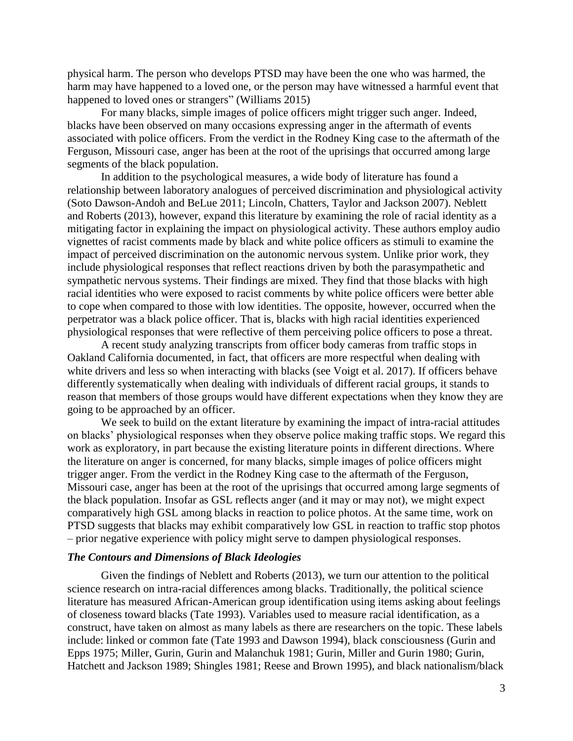physical harm. The person who develops PTSD may have been the one who was harmed, the harm may have happened to a loved one, or the person may have witnessed a harmful event that happened to loved ones or strangers" (Williams 2015)

For many blacks, simple images of police officers might trigger such anger. Indeed, blacks have been observed on many occasions expressing anger in the aftermath of events associated with police officers. From the verdict in the Rodney King case to the aftermath of the Ferguson, Missouri case, anger has been at the root of the uprisings that occurred among large segments of the black population.

In addition to the psychological measures, a wide body of literature has found a relationship between laboratory analogues of perceived discrimination and physiological activity (Soto Dawson-Andoh and BeLue 2011; Lincoln, Chatters, Taylor and Jackson 2007). Neblett and Roberts (2013), however, expand this literature by examining the role of racial identity as a mitigating factor in explaining the impact on physiological activity. These authors employ audio vignettes of racist comments made by black and white police officers as stimuli to examine the impact of perceived discrimination on the autonomic nervous system. Unlike prior work, they include physiological responses that reflect reactions driven by both the parasympathetic and sympathetic nervous systems. Their findings are mixed. They find that those blacks with high racial identities who were exposed to racist comments by white police officers were better able to cope when compared to those with low identities. The opposite, however, occurred when the perpetrator was a black police officer. That is, blacks with high racial identities experienced physiological responses that were reflective of them perceiving police officers to pose a threat.

A recent study analyzing transcripts from officer body cameras from traffic stops in Oakland California documented, in fact, that officers are more respectful when dealing with white drivers and less so when interacting with blacks (see Voigt et al. 2017). If officers behave differently systematically when dealing with individuals of different racial groups, it stands to reason that members of those groups would have different expectations when they know they are going to be approached by an officer.

We seek to build on the extant literature by examining the impact of intra-racial attitudes on blacks' physiological responses when they observe police making traffic stops. We regard this work as exploratory, in part because the existing literature points in different directions. Where the literature on anger is concerned, for many blacks, simple images of police officers might trigger anger. From the verdict in the Rodney King case to the aftermath of the Ferguson, Missouri case, anger has been at the root of the uprisings that occurred among large segments of the black population. Insofar as GSL reflects anger (and it may or may not), we might expect comparatively high GSL among blacks in reaction to police photos. At the same time, work on PTSD suggests that blacks may exhibit comparatively low GSL in reaction to traffic stop photos – prior negative experience with policy might serve to dampen physiological responses.

#### *The Contours and Dimensions of Black Ideologies*

Given the findings of Neblett and Roberts (2013), we turn our attention to the political science research on intra-racial differences among blacks. Traditionally, the political science literature has measured African-American group identification using items asking about feelings of closeness toward blacks (Tate 1993). Variables used to measure racial identification, as a construct, have taken on almost as many labels as there are researchers on the topic. These labels include: linked or common fate (Tate 1993 and Dawson 1994), black consciousness (Gurin and Epps 1975; Miller, Gurin, Gurin and Malanchuk 1981; Gurin, Miller and Gurin 1980; Gurin, Hatchett and Jackson 1989; Shingles 1981; Reese and Brown 1995), and black nationalism/black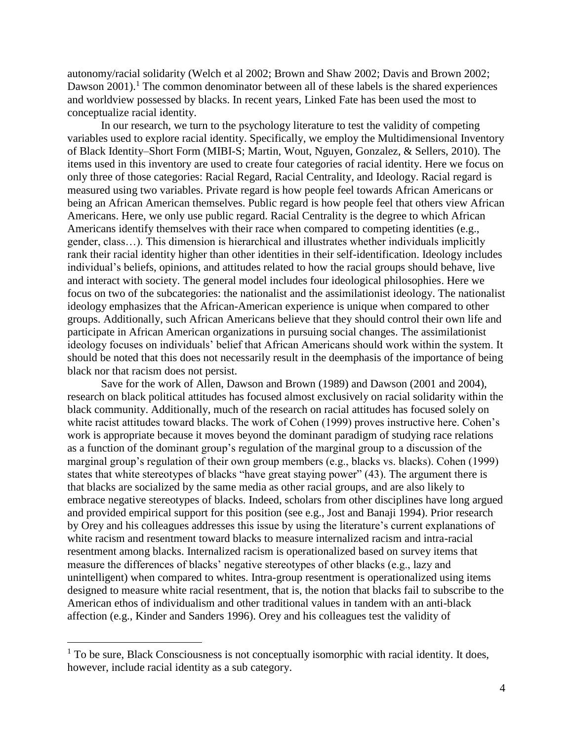autonomy/racial solidarity (Welch et al 2002; Brown and Shaw 2002; Davis and Brown 2002; Dawson  $2001$ <sup>1</sup>. The common denominator between all of these labels is the shared experiences and worldview possessed by blacks. In recent years, Linked Fate has been used the most to conceptualize racial identity.

In our research, we turn to the psychology literature to test the validity of competing variables used to explore racial identity. Specifically, we employ the Multidimensional Inventory of Black Identity–Short Form (MIBI-S; Martin, Wout, Nguyen, Gonzalez, & Sellers, 2010). The items used in this inventory are used to create four categories of racial identity. Here we focus on only three of those categories: Racial Regard, Racial Centrality, and Ideology. Racial regard is measured using two variables. Private regard is how people feel towards African Americans or being an African American themselves. Public regard is how people feel that others view African Americans. Here, we only use public regard. Racial Centrality is the degree to which African Americans identify themselves with their race when compared to competing identities (e.g., gender, class…). This dimension is hierarchical and illustrates whether individuals implicitly rank their racial identity higher than other identities in their self-identification. Ideology includes individual's beliefs, opinions, and attitudes related to how the racial groups should behave, live and interact with society. The general model includes four ideological philosophies. Here we focus on two of the subcategories: the nationalist and the assimilationist ideology. The nationalist ideology emphasizes that the African-American experience is unique when compared to other groups. Additionally, such African Americans believe that they should control their own life and participate in African American organizations in pursuing social changes. The assimilationist ideology focuses on individuals' belief that African Americans should work within the system. It should be noted that this does not necessarily result in the deemphasis of the importance of being black nor that racism does not persist.

Save for the work of Allen, Dawson and Brown (1989) and Dawson (2001 and 2004), research on black political attitudes has focused almost exclusively on racial solidarity within the black community. Additionally, much of the research on racial attitudes has focused solely on white racist attitudes toward blacks. The work of Cohen (1999) proves instructive here. Cohen's work is appropriate because it moves beyond the dominant paradigm of studying race relations as a function of the dominant group's regulation of the marginal group to a discussion of the marginal group's regulation of their own group members (e.g., blacks vs. blacks). Cohen (1999) states that white stereotypes of blacks "have great staying power" (43). The argument there is that blacks are socialized by the same media as other racial groups, and are also likely to embrace negative stereotypes of blacks. Indeed, scholars from other disciplines have long argued and provided empirical support for this position (see e.g., Jost and Banaji 1994). Prior research by Orey and his colleagues addresses this issue by using the literature's current explanations of white racism and resentment toward blacks to measure internalized racism and intra-racial resentment among blacks. Internalized racism is operationalized based on survey items that measure the differences of blacks' negative stereotypes of other blacks (e.g., lazy and unintelligent) when compared to whites. Intra-group resentment is operationalized using items designed to measure white racial resentment, that is, the notion that blacks fail to subscribe to the American ethos of individualism and other traditional values in tandem with an anti-black affection (e.g., Kinder and Sanders 1996). Orey and his colleagues test the validity of

 $\overline{a}$ 

<sup>&</sup>lt;sup>1</sup> To be sure, Black Consciousness is not conceptually isomorphic with racial identity. It does, however, include racial identity as a sub category.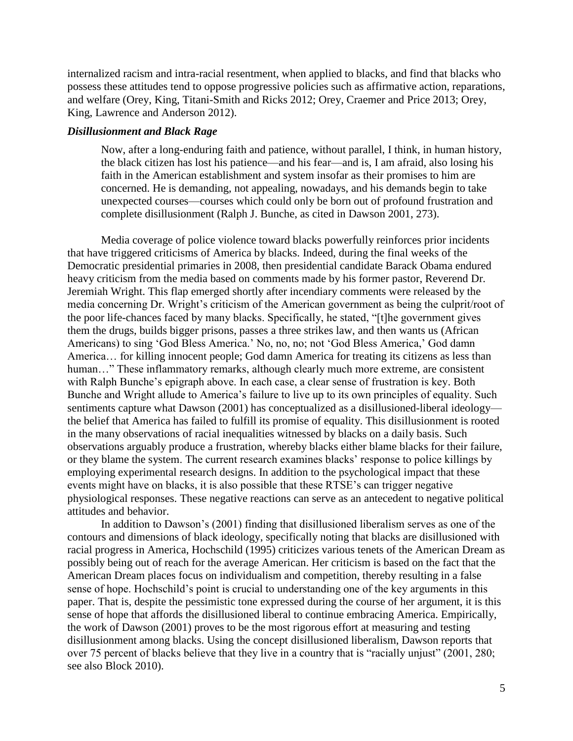internalized racism and intra-racial resentment, when applied to blacks, and find that blacks who possess these attitudes tend to oppose progressive policies such as affirmative action, reparations, and welfare (Orey, King, Titani-Smith and Ricks 2012; Orey, Craemer and Price 2013; Orey, King, Lawrence and Anderson 2012).

## *Disillusionment and Black Rage*

Now, after a long-enduring faith and patience, without parallel, I think, in human history, the black citizen has lost his patience—and his fear—and is, I am afraid, also losing his faith in the American establishment and system insofar as their promises to him are concerned. He is demanding, not appealing, nowadays, and his demands begin to take unexpected courses—courses which could only be born out of profound frustration and complete disillusionment (Ralph J. Bunche, as cited in Dawson 2001, 273).

Media coverage of police violence toward blacks powerfully reinforces prior incidents that have triggered criticisms of America by blacks. Indeed, during the final weeks of the Democratic presidential primaries in 2008, then presidential candidate Barack Obama endured heavy criticism from the media based on comments made by his former pastor, Reverend Dr. Jeremiah Wright. This flap emerged shortly after incendiary comments were released by the media concerning Dr. Wright's criticism of the American government as being the culprit/root of the poor life-chances faced by many blacks. Specifically, he stated, "[t]he government gives them the drugs, builds bigger prisons, passes a three strikes law, and then wants us (African Americans) to sing 'God Bless America.' No, no, no; not 'God Bless America,' God damn America… for killing innocent people; God damn America for treating its citizens as less than human..." These inflammatory remarks, although clearly much more extreme, are consistent with Ralph Bunche's epigraph above. In each case, a clear sense of frustration is key. Both Bunche and Wright allude to America's failure to live up to its own principles of equality. Such sentiments capture what Dawson (2001) has conceptualized as a disillusioned-liberal ideology the belief that America has failed to fulfill its promise of equality. This disillusionment is rooted in the many observations of racial inequalities witnessed by blacks on a daily basis. Such observations arguably produce a frustration, whereby blacks either blame blacks for their failure, or they blame the system. The current research examines blacks' response to police killings by employing experimental research designs. In addition to the psychological impact that these events might have on blacks, it is also possible that these RTSE's can trigger negative physiological responses. These negative reactions can serve as an antecedent to negative political attitudes and behavior.

In addition to Dawson's (2001) finding that disillusioned liberalism serves as one of the contours and dimensions of black ideology, specifically noting that blacks are disillusioned with racial progress in America, Hochschild (1995) criticizes various tenets of the American Dream as possibly being out of reach for the average American. Her criticism is based on the fact that the American Dream places focus on individualism and competition, thereby resulting in a false sense of hope. Hochschild's point is crucial to understanding one of the key arguments in this paper. That is, despite the pessimistic tone expressed during the course of her argument, it is this sense of hope that affords the disillusioned liberal to continue embracing America. Empirically, the work of Dawson (2001) proves to be the most rigorous effort at measuring and testing disillusionment among blacks. Using the concept disillusioned liberalism, Dawson reports that over 75 percent of blacks believe that they live in a country that is "racially unjust" (2001, 280; see also Block 2010).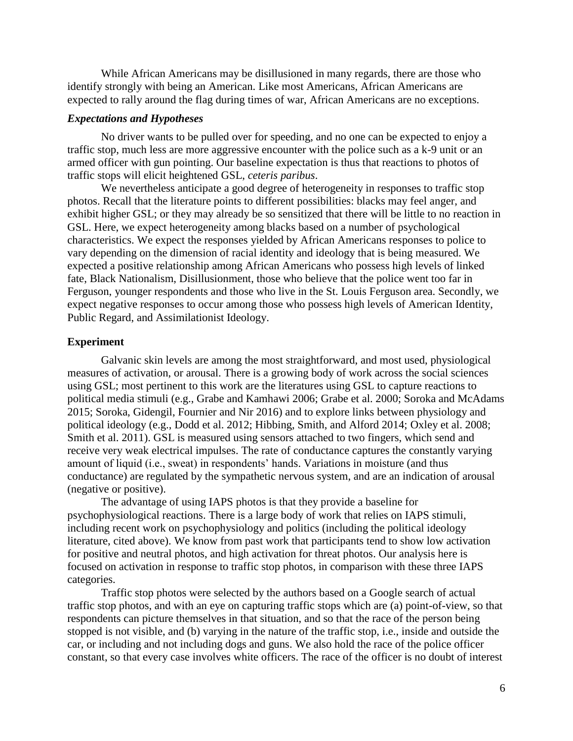While African Americans may be disillusioned in many regards, there are those who identify strongly with being an American. Like most Americans, African Americans are expected to rally around the flag during times of war, African Americans are no exceptions.

#### *Expectations and Hypotheses*

No driver wants to be pulled over for speeding, and no one can be expected to enjoy a traffic stop, much less are more aggressive encounter with the police such as a k-9 unit or an armed officer with gun pointing. Our baseline expectation is thus that reactions to photos of traffic stops will elicit heightened GSL, *ceteris paribus*.

We nevertheless anticipate a good degree of heterogeneity in responses to traffic stop photos. Recall that the literature points to different possibilities: blacks may feel anger, and exhibit higher GSL; or they may already be so sensitized that there will be little to no reaction in GSL. Here, we expect heterogeneity among blacks based on a number of psychological characteristics. We expect the responses yielded by African Americans responses to police to vary depending on the dimension of racial identity and ideology that is being measured. We expected a positive relationship among African Americans who possess high levels of linked fate, Black Nationalism, Disillusionment, those who believe that the police went too far in Ferguson, younger respondents and those who live in the St. Louis Ferguson area. Secondly, we expect negative responses to occur among those who possess high levels of American Identity, Public Regard, and Assimilationist Ideology.

#### **Experiment**

Galvanic skin levels are among the most straightforward, and most used, physiological measures of activation, or arousal. There is a growing body of work across the social sciences using GSL; most pertinent to this work are the literatures using GSL to capture reactions to political media stimuli (e.g., Grabe and Kamhawi 2006; Grabe et al. 2000; Soroka and McAdams 2015; Soroka, Gidengil, Fournier and Nir 2016) and to explore links between physiology and political ideology (e.g., Dodd et al. 2012; Hibbing, Smith, and Alford 2014; Oxley et al. 2008; Smith et al. 2011). GSL is measured using sensors attached to two fingers, which send and receive very weak electrical impulses. The rate of conductance captures the constantly varying amount of liquid (i.e., sweat) in respondents' hands. Variations in moisture (and thus conductance) are regulated by the sympathetic nervous system, and are an indication of arousal (negative or positive).

The advantage of using IAPS photos is that they provide a baseline for psychophysiological reactions. There is a large body of work that relies on IAPS stimuli, including recent work on psychophysiology and politics (including the political ideology literature, cited above). We know from past work that participants tend to show low activation for positive and neutral photos, and high activation for threat photos. Our analysis here is focused on activation in response to traffic stop photos, in comparison with these three IAPS categories.

Traffic stop photos were selected by the authors based on a Google search of actual traffic stop photos, and with an eye on capturing traffic stops which are (a) point-of-view, so that respondents can picture themselves in that situation, and so that the race of the person being stopped is not visible, and (b) varying in the nature of the traffic stop, i.e., inside and outside the car, or including and not including dogs and guns. We also hold the race of the police officer constant, so that every case involves white officers. The race of the officer is no doubt of interest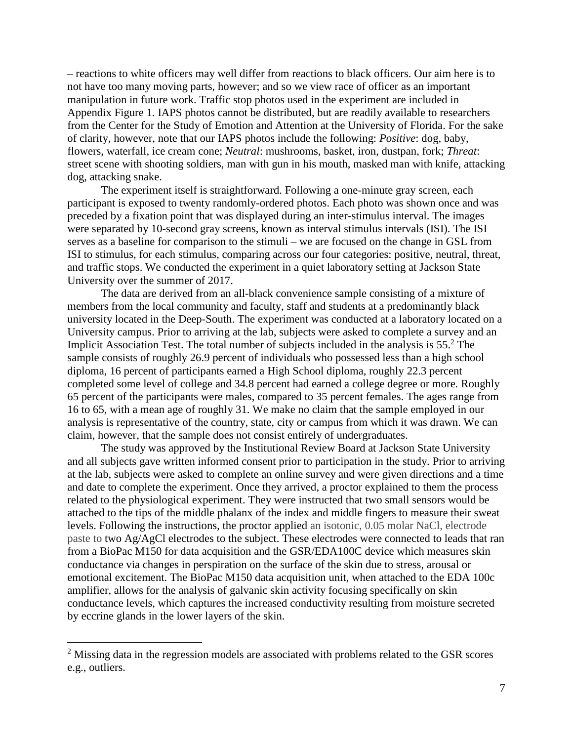– reactions to white officers may well differ from reactions to black officers. Our aim here is to not have too many moving parts, however; and so we view race of officer as an important manipulation in future work. Traffic stop photos used in the experiment are included in Appendix Figure 1. IAPS photos cannot be distributed, but are readily available to researchers from the Center for the Study of Emotion and Attention at the University of Florida. For the sake of clarity, however, note that our IAPS photos include the following: *Positive*: dog, baby, flowers, waterfall, ice cream cone; *Neutral*: mushrooms, basket, iron, dustpan, fork; *Threat*: street scene with shooting soldiers, man with gun in his mouth, masked man with knife, attacking dog, attacking snake.

The experiment itself is straightforward. Following a one-minute gray screen, each participant is exposed to twenty randomly-ordered photos. Each photo was shown once and was preceded by a fixation point that was displayed during an inter-stimulus interval. The images were separated by 10-second gray screens, known as interval stimulus intervals (ISI). The ISI serves as a baseline for comparison to the stimuli – we are focused on the change in GSL from ISI to stimulus, for each stimulus, comparing across our four categories: positive, neutral, threat, and traffic stops. We conducted the experiment in a quiet laboratory setting at Jackson State University over the summer of 2017.

The data are derived from an all-black convenience sample consisting of a mixture of members from the local community and faculty, staff and students at a predominantly black university located in the Deep-South. The experiment was conducted at a laboratory located on a University campus. Prior to arriving at the lab, subjects were asked to complete a survey and an Implicit Association Test. The total number of subjects included in the analysis is  $55<sup>2</sup>$ . The sample consists of roughly 26.9 percent of individuals who possessed less than a high school diploma, 16 percent of participants earned a High School diploma, roughly 22.3 percent completed some level of college and 34.8 percent had earned a college degree or more. Roughly 65 percent of the participants were males, compared to 35 percent females. The ages range from 16 to 65, with a mean age of roughly 31. We make no claim that the sample employed in our analysis is representative of the country, state, city or campus from which it was drawn. We can claim, however, that the sample does not consist entirely of undergraduates.

The study was approved by the Institutional Review Board at Jackson State University and all subjects gave written informed consent prior to participation in the study. Prior to arriving at the lab, subjects were asked to complete an online survey and were given directions and a time and date to complete the experiment. Once they arrived, a proctor explained to them the process related to the physiological experiment. They were instructed that two small sensors would be attached to the tips of the middle phalanx of the index and middle fingers to measure their sweat levels. Following the instructions, the proctor applied an isotonic, 0.05 molar NaCl, electrode paste to two Ag/AgCl electrodes to the subject. These electrodes were connected to leads that ran from a BioPac M150 for data acquisition and the GSR/EDA100C device which measures skin conductance via changes in perspiration on the surface of the skin due to stress, arousal or emotional excitement. The BioPac M150 data acquisition unit, when attached to the EDA 100c amplifier, allows for the analysis of galvanic skin activity focusing specifically on skin conductance levels, which captures the increased conductivity resulting from moisture secreted by eccrine glands in the lower layers of the skin.

 $\overline{a}$ 

<sup>&</sup>lt;sup>2</sup> Missing data in the regression models are associated with problems related to the GSR scores e.g., outliers.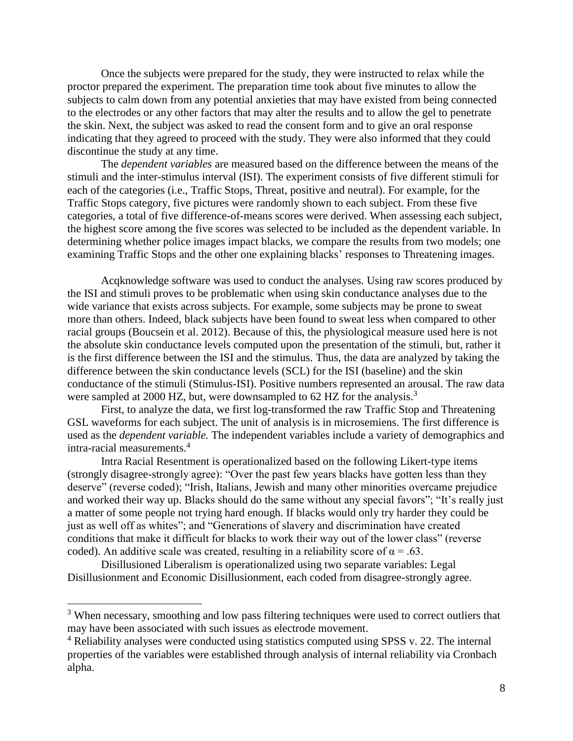Once the subjects were prepared for the study, they were instructed to relax while the proctor prepared the experiment. The preparation time took about five minutes to allow the subjects to calm down from any potential anxieties that may have existed from being connected to the electrodes or any other factors that may alter the results and to allow the gel to penetrate the skin. Next, the subject was asked to read the consent form and to give an oral response indicating that they agreed to proceed with the study. They were also informed that they could discontinue the study at any time.

The *dependent variables* are measured based on the difference between the means of the stimuli and the inter-stimulus interval (ISI). The experiment consists of five different stimuli for each of the categories (i.e., Traffic Stops, Threat, positive and neutral). For example, for the Traffic Stops category, five pictures were randomly shown to each subject. From these five categories, a total of five difference-of-means scores were derived. When assessing each subject, the highest score among the five scores was selected to be included as the dependent variable. In determining whether police images impact blacks, we compare the results from two models; one examining Traffic Stops and the other one explaining blacks' responses to Threatening images.

Acqknowledge software was used to conduct the analyses. Using raw scores produced by the ISI and stimuli proves to be problematic when using skin conductance analyses due to the wide variance that exists across subjects. For example, some subjects may be prone to sweat more than others. Indeed, black subjects have been found to sweat less when compared to other racial groups (Boucsein et al. 2012). Because of this, the physiological measure used here is not the absolute skin conductance levels computed upon the presentation of the stimuli, but, rather it is the first difference between the ISI and the stimulus. Thus, the data are analyzed by taking the difference between the skin conductance levels (SCL) for the ISI (baseline) and the skin conductance of the stimuli (Stimulus-ISI). Positive numbers represented an arousal. The raw data were sampled at 2000 HZ, but, were downsampled to 62 HZ for the analysis.<sup>3</sup>

First, to analyze the data, we first log-transformed the raw Traffic Stop and Threatening GSL waveforms for each subject. The unit of analysis is in microsemiens. The first difference is used as the *dependent variable.* The independent variables include a variety of demographics and intra-racial measurements.<sup>4</sup>

Intra Racial Resentment is operationalized based on the following Likert-type items (strongly disagree-strongly agree): "Over the past few years blacks have gotten less than they deserve" (reverse coded); "Irish, Italians, Jewish and many other minorities overcame prejudice and worked their way up. Blacks should do the same without any special favors"; "It's really just a matter of some people not trying hard enough. If blacks would only try harder they could be just as well off as whites"; and "Generations of slavery and discrimination have created conditions that make it difficult for blacks to work their way out of the lower class" (reverse coded). An additive scale was created, resulting in a reliability score of  $\alpha = .63$ .

Disillusioned Liberalism is operationalized using two separate variables: Legal Disillusionment and Economic Disillusionment, each coded from disagree-strongly agree.

 $\overline{a}$ 

<sup>&</sup>lt;sup>3</sup> When necessary, smoothing and low pass filtering techniques were used to correct outliers that may have been associated with such issues as electrode movement.

<sup>&</sup>lt;sup>4</sup> Reliability analyses were conducted using statistics computed using SPSS v. 22. The internal properties of the variables were established through analysis of internal reliability via Cronbach alpha.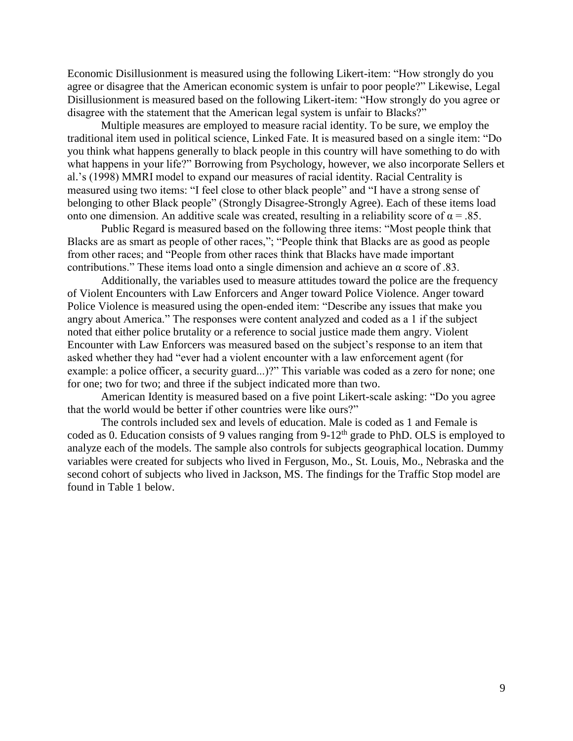Economic Disillusionment is measured using the following Likert-item: "How strongly do you agree or disagree that the American economic system is unfair to poor people?" Likewise, Legal Disillusionment is measured based on the following Likert-item: "How strongly do you agree or disagree with the statement that the American legal system is unfair to Blacks?"

Multiple measures are employed to measure racial identity. To be sure, we employ the traditional item used in political science, Linked Fate. It is measured based on a single item: "Do you think what happens generally to black people in this country will have something to do with what happens in your life?" Borrowing from Psychology, however, we also incorporate Sellers et al.'s (1998) MMRI model to expand our measures of racial identity. Racial Centrality is measured using two items: "I feel close to other black people" and "I have a strong sense of belonging to other Black people" (Strongly Disagree-Strongly Agree). Each of these items load onto one dimension. An additive scale was created, resulting in a reliability score of  $\alpha = .85$ .

Public Regard is measured based on the following three items: "Most people think that Blacks are as smart as people of other races,"; "People think that Blacks are as good as people from other races; and "People from other races think that Blacks have made important contributions." These items load onto a single dimension and achieve an  $\alpha$  score of .83.

Additionally, the variables used to measure attitudes toward the police are the frequency of Violent Encounters with Law Enforcers and Anger toward Police Violence. Anger toward Police Violence is measured using the open-ended item: "Describe any issues that make you angry about America." The responses were content analyzed and coded as a 1 if the subject noted that either police brutality or a reference to social justice made them angry. Violent Encounter with Law Enforcers was measured based on the subject's response to an item that asked whether they had "ever had a violent encounter with a law enforcement agent (for example: a police officer, a security guard...)?" This variable was coded as a zero for none; one for one; two for two; and three if the subject indicated more than two.

American Identity is measured based on a five point Likert-scale asking: "Do you agree that the world would be better if other countries were like ours?"

The controls included sex and levels of education. Male is coded as 1 and Female is coded as 0. Education consists of 9 values ranging from 9-12<sup>th</sup> grade to PhD. OLS is employed to analyze each of the models. The sample also controls for subjects geographical location. Dummy variables were created for subjects who lived in Ferguson, Mo., St. Louis, Mo., Nebraska and the second cohort of subjects who lived in Jackson, MS. The findings for the Traffic Stop model are found in Table 1 below.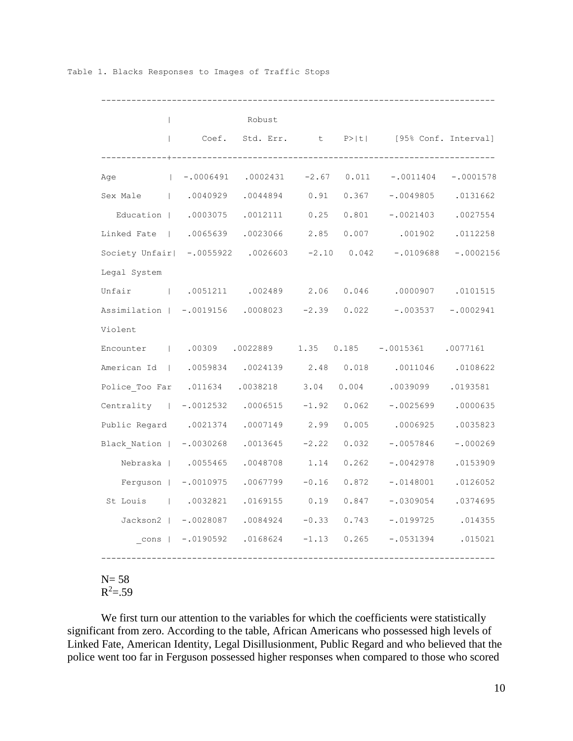| $\mathbf{L}$                                                 | $\mathbb{R}^n$                      | Robust        |         |       | Coef. Std. Err. t P> t  [95% Conf. Interval] |                       |
|--------------------------------------------------------------|-------------------------------------|---------------|---------|-------|----------------------------------------------|-----------------------|
| Age                                                          | $ -0006491$ .0002431 -2.67          |               |         | 0.011 | $-.0011404$                                  | $-.0001578$           |
| Sex Male (1.0040929 .0044894 0.91                            |                                     |               |         | 0.367 | $-.0049805$ .0131662                         |                       |
| Education   .0003075 .0012111 0.25                           |                                     |               |         | 0.801 | $-.0021403$ .0027554                         |                       |
| Linked Fate   .0065639 .0023066 2.85                         |                                     |               |         |       | $0.007$ .001902 .0112258                     |                       |
| Society Unfair   -.0055922 .0026603 -2.10 0.042 -.0109688    |                                     |               |         |       |                                              | $-.0002156$           |
| Legal System                                                 |                                     |               |         |       |                                              |                       |
| Unfair   .0051211 .002489 2.06 0.046 .0000907 .0101515       |                                     |               |         |       |                                              |                       |
| Assimilation   -.0019156 .0008023 -2.39 0.022                |                                     |               |         |       |                                              | $-.003537 - .0002941$ |
| Violent                                                      |                                     |               |         |       |                                              |                       |
| Encounter   .00309 .0022889 1.35 0.185 -.0015361 .0077161    |                                     |               |         |       |                                              |                       |
| American Id   .0059834 .0024139 2.48 0.018 .0011046 .0108622 |                                     |               |         |       |                                              |                       |
| Police Too Far .011634 .0038218 3.04                         |                                     |               |         | 0.004 | .0039099                                     | .0193581              |
| Centrality   -.0012532 .0006515 -1.92 0.062                  |                                     |               |         |       | $-.00256990000635$                           |                       |
| Public Regard .0021374 .0007149 2.99                         |                                     |               |         | 0.005 | .0006925                                     | .0035823              |
| Black Nation   -.0030268 .0013645 -2.22                      |                                     |               |         | 0.032 | $-.0057846$                                  | $-.000269$            |
| Nebraska   .0055465                                          |                                     | .0048708 1.14 |         | 0.262 | $-.0042978$                                  | .0153909              |
|                                                              | Ferguson   -.0010975 .0067799       |               | $-0.16$ | 0.872 | $-.0148001$                                  | .0126052              |
| St Louis (1.0032821 .0169155 0.19                            |                                     |               |         | 0.847 | $-.0309054$ .0374695                         |                       |
|                                                              | Jackson2   -.0028087 .0084924 -0.33 |               |         | 0.743 | $-.0199725$ .014355                          |                       |
|                                                              | cons   -.0190592 .0168624 -1.13     |               |         | 0.265 | $-.0531394$                                  | .015021               |

#### Table 1. Blacks Responses to Images of Traffic Stops

 $N= 58$  $R^2 = .59$ 

We first turn our attention to the variables for which the coefficients were statistically significant from zero. According to the table, African Americans who possessed high levels of Linked Fate, American Identity, Legal Disillusionment, Public Regard and who believed that the police went too far in Ferguson possessed higher responses when compared to those who scored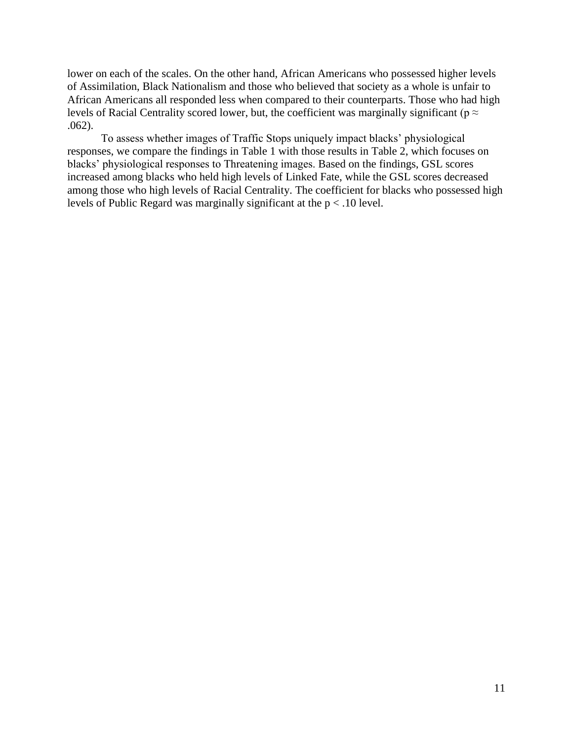lower on each of the scales. On the other hand, African Americans who possessed higher levels of Assimilation, Black Nationalism and those who believed that society as a whole is unfair to African Americans all responded less when compared to their counterparts. Those who had high levels of Racial Centrality scored lower, but, the coefficient was marginally significant ( $p \approx$ .062).

To assess whether images of Traffic Stops uniquely impact blacks' physiological responses, we compare the findings in Table 1 with those results in Table 2, which focuses on blacks' physiological responses to Threatening images. Based on the findings, GSL scores increased among blacks who held high levels of Linked Fate, while the GSL scores decreased among those who high levels of Racial Centrality. The coefficient for blacks who possessed high levels of Public Regard was marginally significant at the p < .10 level.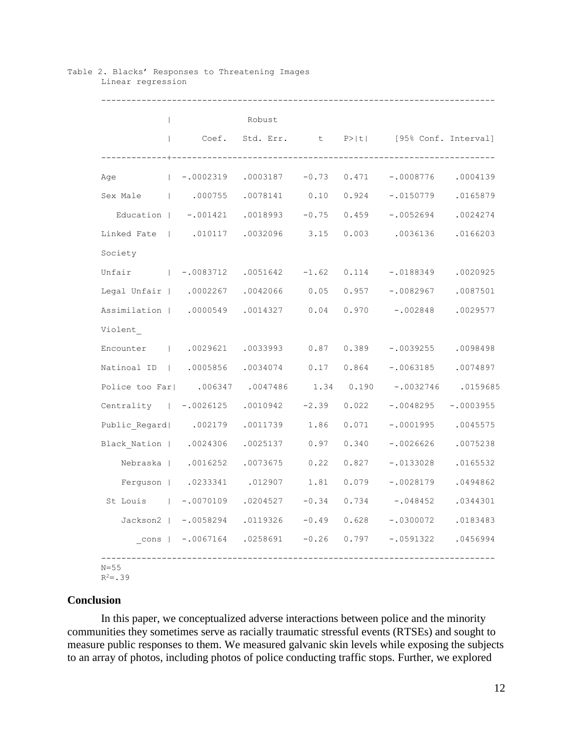| $\mathbb{R}$                                                     |                                     | Robust |       |                                                          |  |
|------------------------------------------------------------------|-------------------------------------|--------|-------|----------------------------------------------------------|--|
|                                                                  |                                     |        |       | Coef. Std. Err. t P> t  [95% Conf. Interval]             |  |
| Age                                                              |                                     |        |       |                                                          |  |
| 0.165879   000755   0078141   0.10   0.924   -.0150779   0165879 |                                     |        |       |                                                          |  |
| Education   -.001421 .0018993 -0.75 0.459 -.0052694 .0024274     |                                     |        |       |                                                          |  |
| Linked Fate   .010117 .0032096 3.15                              |                                     |        |       | 0.003 .0036136 .0166203                                  |  |
| Society                                                          |                                     |        |       |                                                          |  |
| Unfair $-0.0083712$ .0051642 -1.62 0.114 -.0188349 .0020925      |                                     |        |       |                                                          |  |
| Legal Unfair   .0002267 .0042066 0.05                            |                                     |        |       | $0.957 - 0082967$ .0087501                               |  |
| Assimilation   .0000549 .0014327 0.04                            |                                     |        |       | $0.970 - 002848$ .0029577                                |  |
| Violent                                                          |                                     |        |       |                                                          |  |
| Encounter   .0029621 .0033993 0.87 0.389 -.0039255 .0098498      |                                     |        |       |                                                          |  |
| Natinoal ID   .0005856 .0034074 0.17 0.864                       |                                     |        |       | $-.0063185$ .0074897                                     |  |
| Police too Far  .006347 .0047486 1.34 0.190 -.0032746 .0159685   |                                     |        |       |                                                          |  |
| Centrality   -.0026125 .0010942 -2.39 0.022                      |                                     |        |       | $-.0048295 - .0003955$                                   |  |
| Public Regard  .002179 .0011739 1.86                             |                                     |        | 0.071 | $-.0001995$ .0045575                                     |  |
| Black Nation   .0024306 .0025137 0.97                            |                                     |        | 0.340 | $-.0026626$ .0075238                                     |  |
|                                                                  | Nebraska   .0016252 .0073675 0.22   |        | 0.827 | $-.0133028$ .0165532                                     |  |
|                                                                  | Ferguson   .0233341 .012907 1.81    |        | 0.079 | $-.0028179$ .0494862                                     |  |
| St Louis 1 -.0070109 .0204527 -0.34                              |                                     |        | 0.734 | $-.048452$ .0344301                                      |  |
|                                                                  | Jackson2   -.0058294 .0119326 -0.49 |        | 0.628 | $-.0300072$ .0183483                                     |  |
|                                                                  |                                     |        |       | cons   -.0067164 .0258691 -0.26 0.797 -.0591322 .0456994 |  |

#### Table 2. Blacks' Responses to Threatening Images Linear regression

 $R^2 = .39$ 

# **Conclusion**

In this paper, we conceptualized adverse interactions between police and the minority communities they sometimes serve as racially traumatic stressful events (RTSEs) and sought to measure public responses to them. We measured galvanic skin levels while exposing the subjects to an array of photos, including photos of police conducting traffic stops. Further, we explored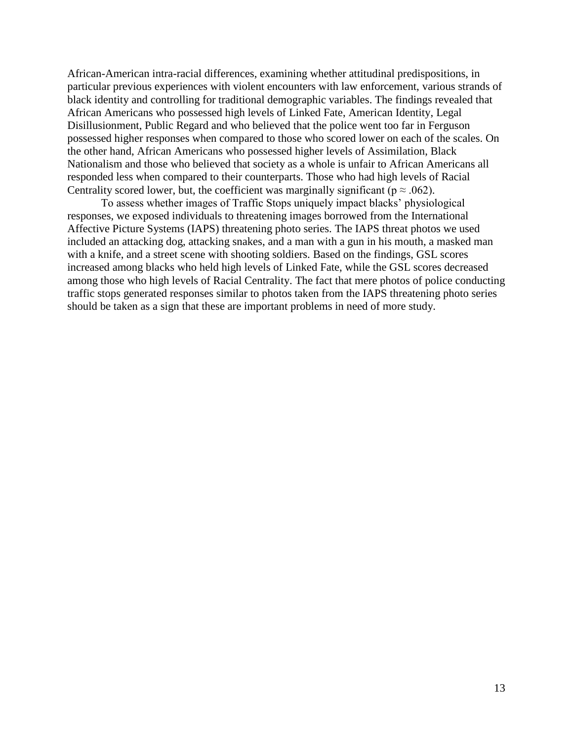African-American intra-racial differences, examining whether attitudinal predispositions, in particular previous experiences with violent encounters with law enforcement, various strands of black identity and controlling for traditional demographic variables. The findings revealed that African Americans who possessed high levels of Linked Fate, American Identity, Legal Disillusionment, Public Regard and who believed that the police went too far in Ferguson possessed higher responses when compared to those who scored lower on each of the scales. On the other hand, African Americans who possessed higher levels of Assimilation, Black Nationalism and those who believed that society as a whole is unfair to African Americans all responded less when compared to their counterparts. Those who had high levels of Racial Centrality scored lower, but, the coefficient was marginally significant ( $p \approx .062$ ).

To assess whether images of Traffic Stops uniquely impact blacks' physiological responses, we exposed individuals to threatening images borrowed from the International Affective Picture Systems (IAPS) threatening photo series. The IAPS threat photos we used included an attacking dog, attacking snakes, and a man with a gun in his mouth, a masked man with a knife, and a street scene with shooting soldiers. Based on the findings, GSL scores increased among blacks who held high levels of Linked Fate, while the GSL scores decreased among those who high levels of Racial Centrality. The fact that mere photos of police conducting traffic stops generated responses similar to photos taken from the IAPS threatening photo series should be taken as a sign that these are important problems in need of more study.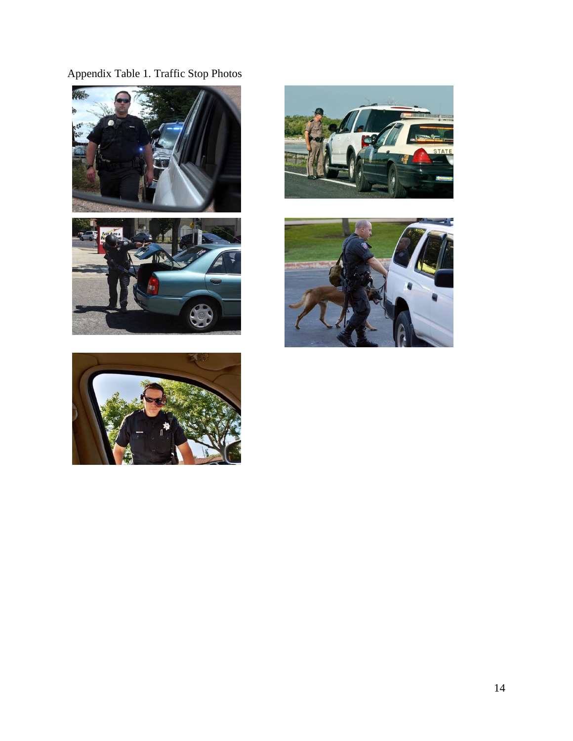Appendix Table 1. Traffic Stop Photos







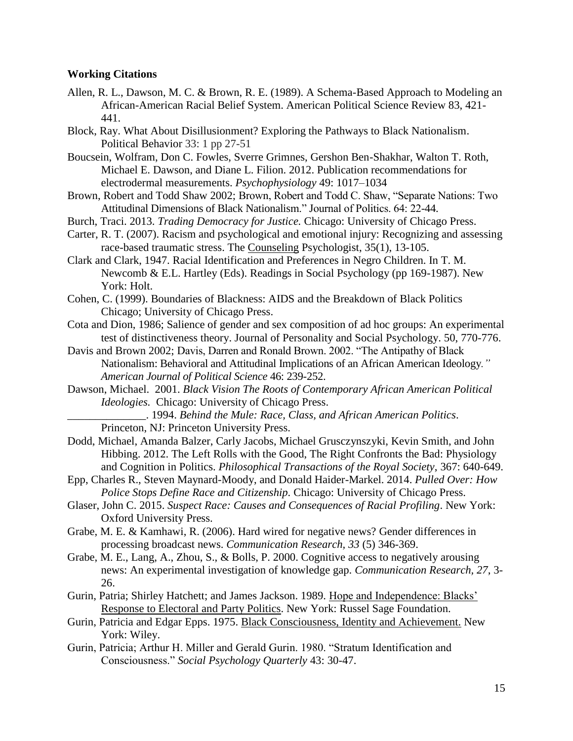### **Working Citations**

- Allen, R. L., Dawson, M. C. & Brown, R. E. (1989). A Schema-Based Approach to Modeling an African-American Racial Belief System. American Political Science Review 83, 421- 441.
- Block, Ray. What About Disillusionment? Exploring the Pathways to Black Nationalism. Political Behavior 33: 1 pp 27-51
- Boucsein, Wolfram, Don C. Fowles, Sverre Grimnes, Gershon Ben-Shakhar, Walton T. Roth, Michael E. Dawson, and Diane L. Filion. 2012. Publication recommendations for electrodermal measurements. *Psychophysiology* 49: 1017–1034
- Brown, Robert and Todd Shaw 2002; Brown, Robert and Todd C. Shaw, "Separate Nations: Two Attitudinal Dimensions of Black Nationalism." Journal of Politics. 64: 22-44.
- Burch, Traci. 2013. *Trading Democracy for Justice.* Chicago: University of Chicago Press.
- Carter, R. T. (2007). Racism and psychological and emotional injury: Recognizing and assessing race-based traumatic stress. The [Counseling](https://www.psychologytoday.com/therapy-types/coaching) Psychologist, 35(1), 13-105.
- Clark and Clark, 1947. Racial Identification and Preferences in Negro Children. In T. M. Newcomb & E.L. Hartley (Eds). Readings in Social Psychology (pp 169-1987). New York: Holt.
- Cohen, C. (1999). Boundaries of Blackness: AIDS and the Breakdown of Black Politics Chicago; University of Chicago Press.
- Cota and Dion, 1986; Salience of gender and sex composition of ad hoc groups: An experimental test of distinctiveness theory. Journal of Personality and Social Psychology. 50, 770-776.
- Davis and Brown 2002; Davis, Darren and Ronald Brown. 2002. "The Antipathy of Black Nationalism: Behavioral and Attitudinal Implications of an African American Ideology*." American Journal of Political Science* 46: 239-252.
- Dawson, Michael. 2001. *Black Vision The Roots of Contemporary African American Political Ideologies.* Chicago: University of Chicago Press.
	- \_\_\_\_\_\_\_\_\_\_\_\_\_\_. 1994. *Behind the Mule: Race, Class, and African American Politics*. Princeton, NJ: Princeton University Press.
- Dodd, Michael, Amanda Balzer, Carly Jacobs, Michael Grusczynszyki, Kevin Smith, and John Hibbing. 2012. The Left Rolls with the Good, The Right Confronts the Bad: Physiology and Cognition in Politics. *Philosophical Transactions of the Royal Society*, 367: 640-649.
- Epp, Charles R., Steven Maynard-Moody, and Donald Haider-Markel. 2014. *Pulled Over: How Police Stops Define Race and Citizenship.* Chicago: University of Chicago Press.
- Glaser, John C. 2015. *Suspect Race: Causes and Consequences of Racial Profiling*. New York: Oxford University Press.
- Grabe, M. E. & Kamhawi, R. (2006). Hard wired for negative news? Gender differences in processing broadcast news. *Communication Research, 33* (5) 346-369.
- Grabe, M. E., Lang, A., Zhou, S., & Bolls, P. 2000. Cognitive access to negatively arousing news: An experimental investigation of knowledge gap. *Communication Research, 27*, 3- 26.
- Gurin, Patria; Shirley Hatchett; and James Jackson. 1989. Hope and Independence: Blacks' Response to Electoral and Party Politics. New York: Russel Sage Foundation.
- Gurin, Patricia and Edgar Epps. 1975. Black Consciousness, Identity and Achievement. New York: Wiley.
- Gurin, Patricia; Arthur H. Miller and Gerald Gurin. 1980. "Stratum Identification and Consciousness." *Social Psychology Quarterly* 43: 30-47.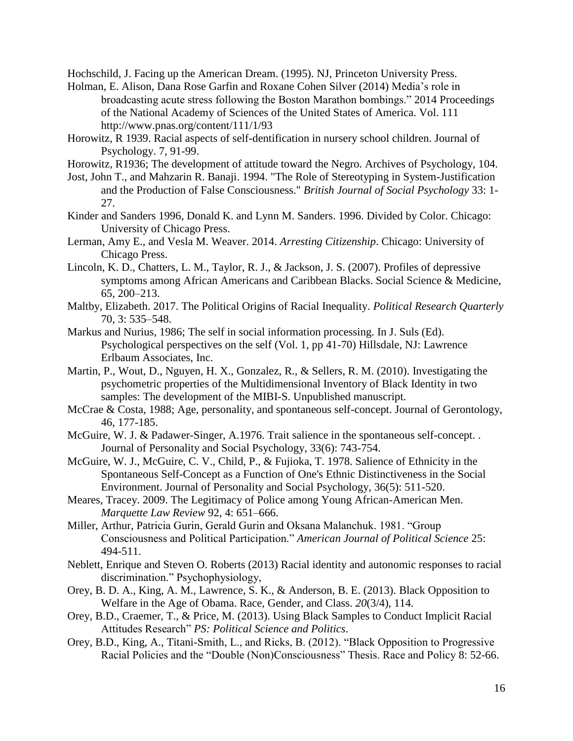Hochschild, J. Facing up the American Dream. (1995). NJ, Princeton University Press.

- Holman, E. Alison, Dana Rose Garfin and Roxane Cohen Silver (2014) Media's role in broadcasting acute stress following the Boston Marathon bombings." 2014 Proceedings of the National Academy of Sciences of the United States of America. Vol. 111 http://www.pnas.org/content/111/1/93
- Horowitz, R 1939. Racial aspects of self-dentification in nursery school children. Journal of Psychology. 7, 91-99.
- Horowitz, R1936; The development of attitude toward the Negro. Archives of Psychology, 104.
- Jost, John T., and Mahzarin R. Banaji. 1994. "The Role of Stereotyping in System-Justification and the Production of False Consciousness." *British Journal of Social Psychology* 33: 1- 27.
- Kinder and Sanders 1996, Donald K. and Lynn M. Sanders. 1996. Divided by Color. Chicago: University of Chicago Press.
- Lerman, Amy E., and Vesla M. Weaver. 2014. *Arresting Citizenship*. Chicago: University of Chicago Press.
- Lincoln, K. D., Chatters, L. M., Taylor, R. J., & Jackson, J. S. (2007). Profiles of depressive symptoms among African Americans and Caribbean Blacks. Social Science & Medicine, 65, 200–213.
- Maltby, Elizabeth. 2017. The Political Origins of Racial Inequality. *Political Research Quarterly* 70, 3: 535–548.
- Markus and Nurius, 1986; The self in social information processing. In J. Suls (Ed). Psychological perspectives on the self (Vol. 1, pp 41-70) Hillsdale, NJ: Lawrence Erlbaum Associates, Inc.
- Martin, P., Wout, D., Nguyen, H. X., Gonzalez, R., & Sellers, R. M. (2010). Investigating the psychometric properties of the Multidimensional Inventory of Black Identity in two samples: The development of the MIBI-S. Unpublished manuscript.
- McCrae & Costa, 1988; Age, personality, and spontaneous self-concept. Journal of Gerontology, 46, 177-185.
- McGuire, W. J. & Padawer-Singer, A.1976. Trait salience in the spontaneous self-concept. . Journal of Personality and Social Psychology, 33(6): 743-754.
- McGuire, W. J., McGuire, C. V., Child, P., & Fujioka, T. 1978. Salience of Ethnicity in the Spontaneous Self-Concept as a Function of One's Ethnic Distinctiveness in the Social Environment. Journal of Personality and Social Psychology, 36(5): 511-520.
- Meares, Tracey. 2009. The Legitimacy of Police among Young African-American Men. *Marquette Law Review* 92, 4: 651–666.
- Miller, Arthur, Patricia Gurin, Gerald Gurin and Oksana Malanchuk. 1981. "Group Consciousness and Political Participation." *American Journal of Political Science* 25: 494-511.
- Neblett, Enrique and Steven O. Roberts (2013) Racial identity and autonomic responses to racial discrimination." Psychophysiology,
- Orey, B. D. A., King, A. M., Lawrence, S. K., & Anderson, B. E. (2013). Black Opposition to Welfare in the Age of Obama. Race, Gender, and Class. *20*(3/4), 114.
- Orey, B.D., Craemer, T., & Price, M. (2013). Using Black Samples to Conduct Implicit Racial Attitudes Research" *PS: Political Science and Politics*.
- Orey, B.D., King, A., Titani-Smith, L., and Ricks, B. (2012). "Black Opposition to Progressive Racial Policies and the "Double (Non)Consciousness" Thesis. Race and Policy 8: 52-66.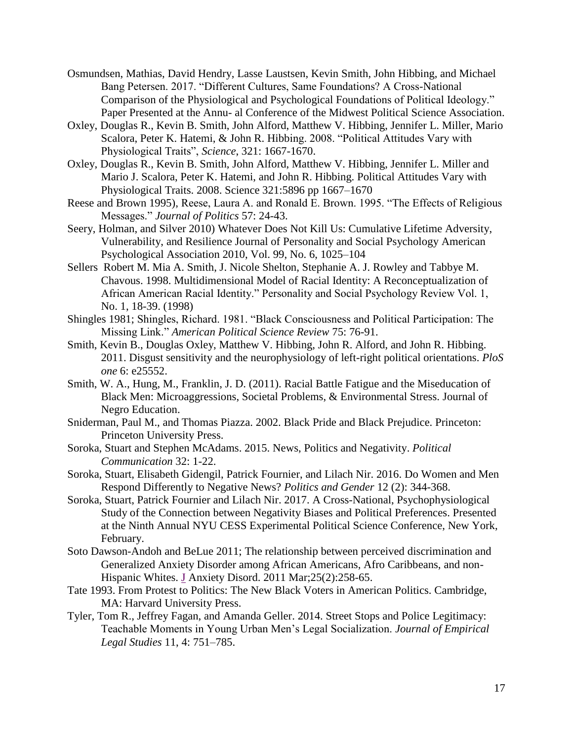- Osmundsen, Mathias, David Hendry, Lasse Laustsen, Kevin Smith, John Hibbing, and Michael Bang Petersen. 2017. "Different Cultures, Same Foundations? A Cross-National Comparison of the Physiological and Psychological Foundations of Political Ideology." Paper Presented at the Annu- al Conference of the Midwest Political Science Association.
- Oxley, Douglas R., Kevin B. Smith, John Alford, Matthew V. Hibbing, Jennifer L. Miller, Mario Scalora, Peter K. Hatemi, & John R. Hibbing. 2008. "Political Attitudes Vary with Physiological Traits", *Science*, 321: 1667-1670.
- Oxley, Douglas R., Kevin B. Smith, John Alford, Matthew V. Hibbing, Jennifer L. Miller and Mario J. Scalora, Peter K. Hatemi, and John R. Hibbing. Political Attitudes Vary with Physiological Traits. 2008. Science 321:5896 pp 1667–1670
- Reese and Brown 1995), Reese, Laura A. and Ronald E. Brown. 1995. "The Effects of Religious Messages." *Journal of Politics* 57: 24-43.
- Seery, Holman, and Silver 2010) Whatever Does Not Kill Us: Cumulative Lifetime Adversity, Vulnerability, and Resilience Journal of Personality and Social Psychology American Psychological Association 2010, Vol. 99, No. 6, 1025–104
- Sellers Robert M. Mia A. Smith, J. Nicole Shelton, Stephanie A. J. Rowley and Tabbye M. Chavous. 1998. Multidimensional Model of Racial Identity: A Reconceptualization of African American Racial Identity." Personality and Social Psychology Review Vol. 1, No. 1, 18-39. (1998)
- Shingles 1981; Shingles, Richard. 1981. "Black Consciousness and Political Participation: The Missing Link." *American Political Science Review* 75: 76-91.
- Smith, Kevin B., Douglas Oxley, Matthew V. Hibbing, John R. Alford, and John R. Hibbing. 2011. Disgust sensitivity and the neurophysiology of left-right political orientations. *PloS one* 6: e25552.
- Smith, W. A., Hung, M., Franklin, J. D. (2011). Racial Battle Fatigue and the Miseducation of Black Men: Microaggressions, Societal Problems, & Environmental Stress. Journal of Negro Education.
- Sniderman, Paul M., and Thomas Piazza. 2002. Black Pride and Black Prejudice. Princeton: Princeton University Press.
- Soroka, Stuart and Stephen McAdams. 2015. News, Politics and Negativity. *Political Communication* 32: 1-22.
- Soroka, Stuart, Elisabeth Gidengil, Patrick Fournier, and Lilach Nir. 2016. Do Women and Men Respond Differently to Negative News? *Politics and Gender* 12 (2): 344-368.
- Soroka, Stuart, Patrick Fournier and Lilach Nir. 2017. A Cross-National, Psychophysiological Study of the Connection between Negativity Biases and Political Preferences. Presented at the Ninth Annual NYU CESS Experimental Political Science Conference, New York, February.
- Soto Dawson-Andoh and BeLue 2011; The relationship between perceived discrimination and Generalized Anxiety Disorder among African Americans, Afro Caribbeans, and non-Hispanic Whites. J [Anxiety Disord.](https://www.ncbi.nlm.nih.gov/pubmed/21041059) 2011 Mar;25(2):258-65.
- Tate 1993. From Protest to Politics: The New Black Voters in American Politics. Cambridge, MA: Harvard University Press.
- Tyler, Tom R., Jeffrey Fagan, and Amanda Geller. 2014. Street Stops and Police Legitimacy: Teachable Moments in Young Urban Men's Legal Socialization. *Journal of Empirical Legal Studies* 11, 4: 751–785.